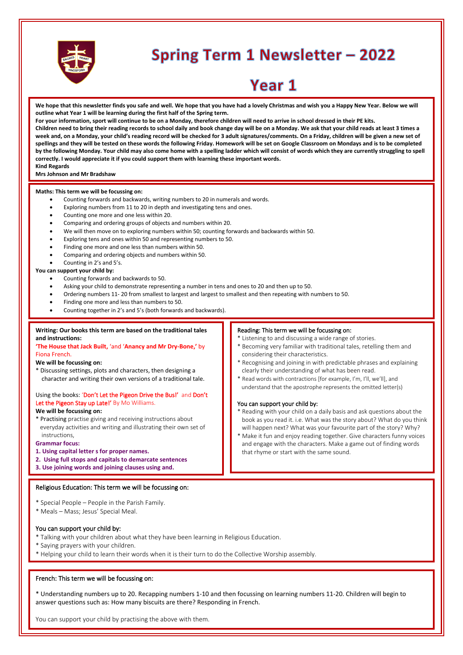

# **Spring Term 1 Newsletter - 2022**

# Year 1

**We hope that this newsletter finds you safe and well. We hope that you have had a lovely Christmas and wish you a Happy New Year. Below we will outline what Year 1 will be learning during the first half of the Spring term.** 

**For your information, sport will continue to be on a Monday, therefore children will need to arrive in school dressed in their PE kits. Children need to bring their reading records to school daily and book change day will be on a Monday. We ask that your child reads at least 3 times a week and, on a Monday, your child's reading record will be checked for 3 adult signatures/comments. On a Friday, children will be given a new set of spellings and they will be tested on these words the following Friday. Homework will be set on Google Classroom on Mondays and is to be completed by the following Monday. Your child may also come home with a spelling ladder which will consist of words which they are currently struggling to spell correctly. I would appreciate it if you could support them with learning these important words. Kind Regards**

# **Mrs Johnson and Mr Bradshaw**

#### **Maths: This term we will be focussing on:**

- Counting forwards and backwards, writing numbers to 20 in numerals and words.
- Exploring numbers from 11 to 20 in depth and investigating tens and ones.
- Counting one more and one less within 20.
- Comparing and ordering groups of objects and numbers within 20.
- We will then move on to exploring numbers within 50; counting forwards and backwards within 50.
- Exploring tens and ones within 50 and representing numbers to 50.
- Finding one more and one less than numbers within 50.
- Comparing and ordering objects and numbers within 50.
- Counting in 2's and 5's.

# **You can support your child by:**

- Counting forwards and backwards to 50.
- Asking your child to demonstrate representing a number in tens and ones to 20 and then up to 50.
- Ordering numbers 11- 20 from smallest to largest and largest to smallest and then repeating with numbers to 50.
- Finding one more and less than numbers to 50.
- Counting together in 2's and 5's (both forwards and backwards).

# **Writing: Our books this term are based on the traditional tales and instructions:**

#### **'The House that Jack Built,** 'and '**Anancy and Mr Dry-Bone,'** by Fiona French.

#### **We will be focussing on:**

\* Discussing settings, plots and characters, then designing a character and writing their own versions of a traditional tale.

# Using the books: 'Don't Let the Pigeon Drive the Bus!' and Don't Let the Pigeon Stay up Late!' By Mo Williams.

#### **We will be focussing on:**

\* Practising practise giving and receiving instructions about everyday activities and writing and illustrating their own set of instructions,

#### **Grammar focus:**

- **1. Using capital letter s for proper names.**
- **2. Using full stops and capitals to demarcate sentences**
- **3. Use joining words and joining clauses using and.**

#### $\mathsf{B}$ oligious Education: This term we will be focussing and  $\mathsf{B}$ Religious Education: This term we will be focussing on:<br>.

- \* Special People People in the Parish Family.
- au<br>\* Moale Marc: Josus' Spocial Mos \* Meals – Mass; Jesus' Special Meal.

# You can support your child by:

- tod can support your child by:<br>\* Talking with your children about what they have been learning in Religious Education.
- \* Saying prayers with your children.

where they have achieved they have achieved they have achieved the above.

 $\,^*$  Helping your child to learn their words when it is their turn to do the Collective Worship assembly.

# French: This term we will be focussing on:

\* Understanding numbers up to 20. Recapping numbers 1-10 and then focussing on learning numbers 11-20. Children will begin to answer questions such as: How many biscuits are there? Responding in French.

You can support your child by practising the above with them.

#### Reading: This term we will be focussing on:

- \* Listening to and discussing a wide range of stories.
- \* Becoming very familiar with traditional tales, retelling them and considering their characteristics.
- \* Recognising and joining in with predictable phrases and explaining clearly their understanding of what has been read.
- \* Read words with contractions [for example, I'm, I'll, we'll], and understand that the apostrophe represents the omitted letter(s)

#### You can support your child by:

- \* Reading with your child on a daily basis and ask questions about the book as you read it. i.e. What was the story about? What do you think will happen next? What was your favourite part of the story? Why?
- \* Make it fun and enjoy reading together. Give characters funny voices and engage with the characters. Make a game out of finding words that rhyme or start with the same sound.